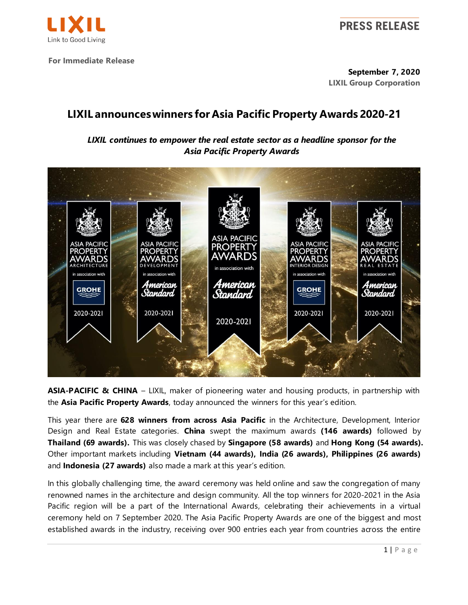

**For Immediate Release**

**September 7, 2020 LIXIL Group Corporation**

## **LIXIL announceswinners for Asia Pacific Property Awards 2020-21**

*LIXIL continues to empower the real estate sector as a headline sponsor for the Asia Pacific Property Awards*



**ASIA-PACIFIC & CHINA** – LIXIL, maker of pioneering water and housing products, in partnership with the **Asia Pacific Property Awards**, today announced the winners for this year's edition.

This year there are **628 winners from across Asia Pacific** in the Architecture, Development, Interior Design and Real Estate categories. **China** swept the maximum awards **(146 awards)** followed by **Thailand (69 awards).** This was closely chased by **Singapore (58 awards)** and **Hong Kong (54 awards).** Other important markets including **Vietnam (44 awards), India (26 awards), Philippines (26 awards)** and **Indonesia (27 awards)** also made a mark at this year's edition.

In this globally challenging time, the award ceremony was held online and saw the congregation of many renowned names in the architecture and design community. All the top winners for 2020-2021 in the Asia Pacific region will be a part of the International Awards, celebrating their achievements in a virtual ceremony held on 7 September 2020. The Asia Pacific Property Awards are one of the biggest and most established awards in the industry, receiving over 900 entries each year from countries across the entire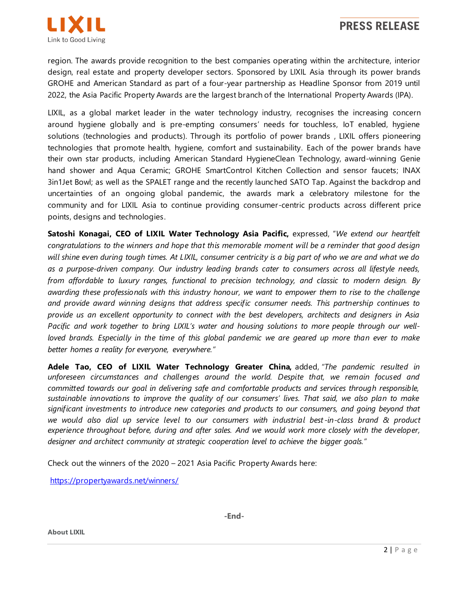

region. The awards provide recognition to the best companies operating within the architecture, interior design, real estate and property developer sectors. Sponsored by LIXIL Asia through its power brands GROHE and American Standard as part of a four-year partnership as Headline Sponsor from 2019 until 2022, the Asia Pacific Property Awards are the largest branch of the International Property Awards (IPA).

LIXIL, as a global market leader in the water technology industry, recognises the increasing concern around hygiene globally and is pre-empting consumers' needs for touchless, IoT enabled, hygiene solutions (technologies and products). Through its portfolio of power brands , LIXIL offers pioneering technologies that promote health, hygiene, comfort and sustainability. Each of the power brands have their own star products, including American Standard HygieneClean Technology, award-winning Genie hand shower and Aqua Ceramic; GROHE SmartControl Kitchen Collection and sensor faucets; INAX 3in1Jet Bowl; as well as the SPALET range and the recently launched SATO Tap. Against the backdrop and uncertainties of an ongoing global pandemic, the awards mark a celebratory milestone for the community and for LIXIL Asia to continue providing consumer-centric products across different price points, designs and technologies.

**Satoshi Konagai, CEO of LIXIL Water Technology Asia Pacific,** expressed, "*We extend our heartfelt congratulations to the winners and hope that this memorable moment will be a reminder that good design will shine even during tough times. At LIXIL, consumer centricity is a big part of who we are and what we do as a purpose-driven company. Our industry leading brands cater to consumers across all lifestyle needs, from affordable to luxury ranges, functional to precision technology, and classic to modern design. By awarding these professionals with this industry honour, we want to empower them to rise to the challenge and provide award winning designs that address specific consumer needs. This partnership continues to provide us an excellent opportunity to connect with the best developers, architects and designers in Asia Pacific and work together to bring LIXIL's water and housing solutions to more people through our wellloved brands. Especially in the time of this global pandemic we are geared up more than ever to make better homes a reality for everyone, everywhere."*

**Adele Tao, CEO of LIXIL Water Technology Greater China,** added, *"The pandemic resulted in unforeseen circumstances and challenges around the world. Despite that, we remain focused and committed towards our goal in delivering safe and comfortable products and services through responsible, sustainable innovations to improve the quality of our consumers' lives. That said, we also plan to make significant investments to introduce new categories and products to our consumers, and going beyond that we would also dial up service level to our consumers with industrial best -in-class brand & product experience throughout before, during and after sales. And we would work more closely with the developer, designer and architect community at strategic cooperation level to achieve the bigger goals."*

Check out the winners of the 2020 – 2021 Asia Pacific Property Awards here:

<https://propertyawards.net/winners/>

**-End-**

**About LIXIL**